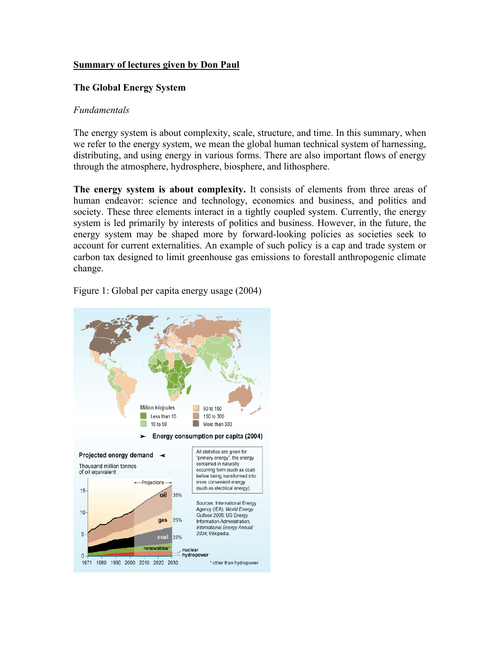### **Summary of lectures given by Don Paul**

### **The Global Energy System**

### *Fundamentals*

The energy system is about complexity, scale, structure, and time. In this summary, when we refer to the energy system, we mean the global human technical system of harnessing, distributing, and using energy in various forms. There are also important flows of energy through the atmosphere, hydrosphere, biosphere, and lithosphere.

**The energy system is about complexity.** It consists of elements from three areas of human endeavor: science and technology, economics and business, and politics and society. These three elements interact in a tightly coupled system. Currently, the energy system is led primarily by interests of politics and business. However, in the future, the energy system may be shaped more by forward-looking policies as societies seek to account for current externalities. An example of such policy is a cap and trade system or carbon tax designed to limit greenhouse gas emissions to forestall anthropogenic climate change.



Figure 1: Global per capita energy usage (2004)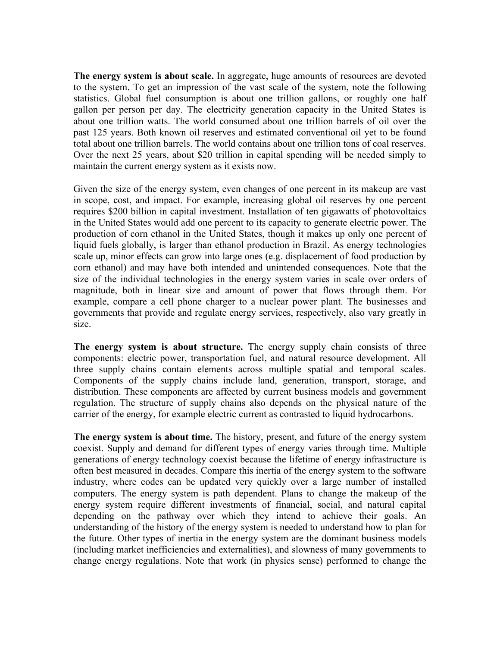**The energy system is about scale.** In aggregate, huge amounts of resources are devoted to the system. To get an impression of the vast scale of the system, note the following statistics. Global fuel consumption is about one trillion gallons, or roughly one half gallon per person per day. The electricity generation capacity in the United States is about one trillion watts. The world consumed about one trillion barrels of oil over the past 125 years. Both known oil reserves and estimated conventional oil yet to be found total about one trillion barrels. The world contains about one trillion tons of coal reserves. Over the next 25 years, about \$20 trillion in capital spending will be needed simply to maintain the current energy system as it exists now.

Given the size of the energy system, even changes of one percent in its makeup are vast in scope, cost, and impact. For example, increasing global oil reserves by one percent requires \$200 billion in capital investment. Installation of ten gigawatts of photovoltaics in the United States would add one percent to its capacity to generate electric power. The production of corn ethanol in the United States, though it makes up only one percent of liquid fuels globally, is larger than ethanol production in Brazil. As energy technologies scale up, minor effects can grow into large ones (e.g. displacement of food production by corn ethanol) and may have both intended and unintended consequences. Note that the size of the individual technologies in the energy system varies in scale over orders of magnitude, both in linear size and amount of power that flows through them. For example, compare a cell phone charger to a nuclear power plant. The businesses and governments that provide and regulate energy services, respectively, also vary greatly in size.

**The energy system is about structure.** The energy supply chain consists of three components: electric power, transportation fuel, and natural resource development. All three supply chains contain elements across multiple spatial and temporal scales. Components of the supply chains include land, generation, transport, storage, and distribution. These components are affected by current business models and government regulation. The structure of supply chains also depends on the physical nature of the carrier of the energy, for example electric current as contrasted to liquid hydrocarbons.

**The energy system is about time.** The history, present, and future of the energy system coexist. Supply and demand for different types of energy varies through time. Multiple generations of energy technology coexist because the lifetime of energy infrastructure is often best measured in decades. Compare this inertia of the energy system to the software industry, where codes can be updated very quickly over a large number of installed computers. The energy system is path dependent. Plans to change the makeup of the energy system require different investments of financial, social, and natural capital depending on the pathway over which they intend to achieve their goals. An understanding of the history of the energy system is needed to understand how to plan for the future. Other types of inertia in the energy system are the dominant business models (including market inefficiencies and externalities), and slowness of many governments to change energy regulations. Note that work (in physics sense) performed to change the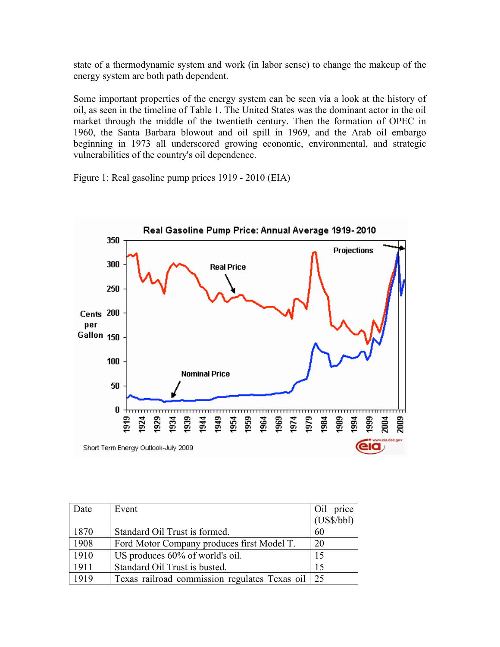state of a thermodynamic system and work (in labor sense) to change the makeup of the energy system are both path dependent.

Some important properties of the energy system can be seen via a look at the history of oil, as seen in the timeline of Table 1. The United States was the dominant actor in the oil market through the middle of the twentieth century. Then the formation of OPEC in 1960, the Santa Barbara blowout and oil spill in 1969, and the Arab oil embargo beginning in 1973 all underscored growing economic, environmental, and strategic vulnerabilities of the country's oil dependence.

Real Gasoline Pump Price: Annual Average 1919-2010 350 **Projections** 300 **Real Price** 250 Cents 200 per Gallon 150 100 **Nominal Price** 50 0 1919 1939 **B49** 1959 1969 1979 1999 2009 1929 1934 1954 1964 1974 1989 1994 1924  $\frac{34}{2}$ 1984  $\frac{3}{2}$ Short Term Energy Outlook-July 2009

Figure 1: Real gasoline pump prices 1919 - 2010 (EIA)

| Date | Event                                            | Oil price<br>(US\$/bbl) |
|------|--------------------------------------------------|-------------------------|
|      |                                                  |                         |
| 1870 | Standard Oil Trust is formed.                    | 60                      |
| 1908 | Ford Motor Company produces first Model T.       | 20                      |
| 1910 | US produces 60% of world's oil.                  | 15                      |
| 1911 | Standard Oil Trust is busted.                    | 15                      |
| 1919 | Texas railroad commission regulates Texas oil 25 |                         |

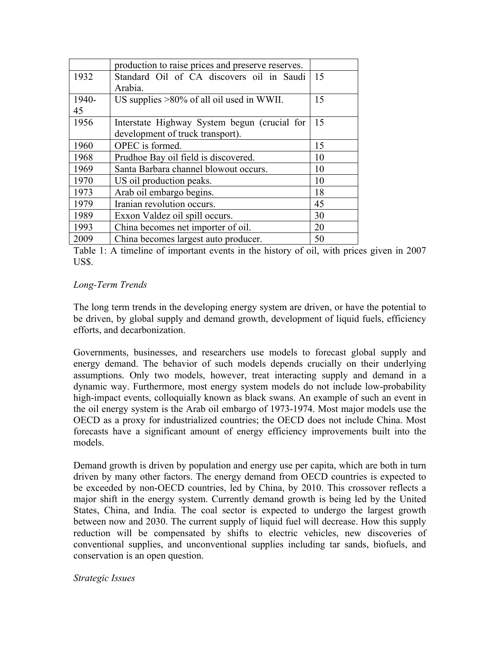|       | production to raise prices and preserve reserves. |    |
|-------|---------------------------------------------------|----|
| 1932  | Standard Oil of CA discovers oil in Saudi         | 15 |
|       | Arabia.                                           |    |
| 1940- | US supplies $>80\%$ of all oil used in WWII.      | 15 |
| 45    |                                                   |    |
| 1956  | Interstate Highway System begun (crucial for      | 15 |
|       | development of truck transport).                  |    |
| 1960  | OPEC is formed.                                   | 15 |
| 1968  | Prudhoe Bay oil field is discovered.              | 10 |
| 1969  | Santa Barbara channel blowout occurs.             | 10 |
| 1970  | US oil production peaks.                          | 10 |
| 1973  | Arab oil embargo begins.                          | 18 |
| 1979  | Iranian revolution occurs.                        | 45 |
| 1989  | Exxon Valdez oil spill occurs.                    | 30 |
| 1993  | China becomes net importer of oil.                | 20 |
| 2009  | China becomes largest auto producer.              | 50 |

Table 1: A timeline of important events in the history of oil, with prices given in 2007 US\$.

# *Long-Term Trends*

The long term trends in the developing energy system are driven, or have the potential to be driven, by global supply and demand growth, development of liquid fuels, efficiency efforts, and decarbonization.

Governments, businesses, and researchers use models to forecast global supply and energy demand. The behavior of such models depends crucially on their underlying assumptions. Only two models, however, treat interacting supply and demand in a dynamic way. Furthermore, most energy system models do not include low-probability high-impact events, colloquially known as black swans. An example of such an event in the oil energy system is the Arab oil embargo of 1973-1974. Most major models use the OECD as a proxy for industrialized countries; the OECD does not include China. Most forecasts have a significant amount of energy efficiency improvements built into the models.

Demand growth is driven by population and energy use per capita, which are both in turn driven by many other factors. The energy demand from OECD countries is expected to be exceeded by non-OECD countries, led by China, by 2010. This crossover reflects a major shift in the energy system. Currently demand growth is being led by the United States, China, and India. The coal sector is expected to undergo the largest growth between now and 2030. The current supply of liquid fuel will decrease. How this supply reduction will be compensated by shifts to electric vehicles, new discoveries of conventional supplies, and unconventional supplies including tar sands, biofuels, and conservation is an open question.

#### *Strategic Issues*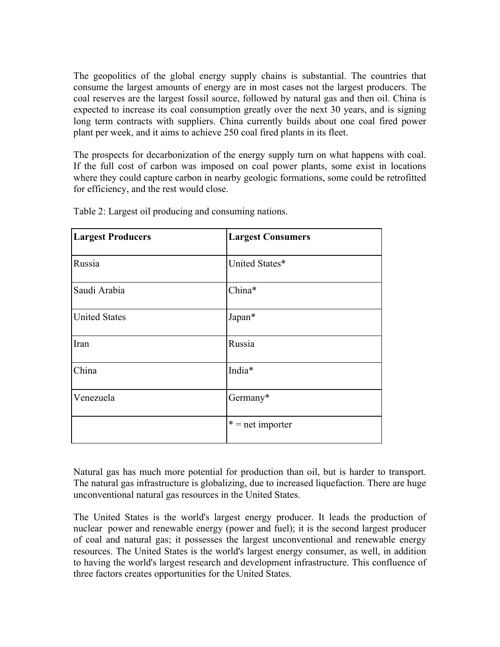The geopolitics of the global energy supply chains is substantial. The countries that consume the largest amounts of energy are in most cases not the largest producers. The coal reserves are the largest fossil source, followed by natural gas and then oil. China is expected to increase its coal consumption greatly over the next 30 years, and is signing long term contracts with suppliers. China currently builds about one coal fired power plant per week, and it aims to achieve 250 coal fired plants in its fleet.

The prospects for decarbonization of the energy supply turn on what happens with coal. If the full cost of carbon was imposed on coal power plants, some exist in locations where they could capture carbon in nearby geologic formations, some could be retrofitted for efficiency, and the rest would close.

| <b>Largest Producers</b> | <b>Largest Consumers</b> |
|--------------------------|--------------------------|
| Russia                   | United States*           |
| Saudi Arabia             | China*                   |
| <b>United States</b>     | Japan*                   |
| Iran                     | Russia                   |
| China                    | India*                   |
| Venezuela                | Germany*                 |
|                          | $* = net importer$       |

Table 2: Largest oil producing and consuming nations.

Natural gas has much more potential for production than oil, but is harder to transport. The natural gas infrastructure is globalizing, due to increased liquefaction. There are huge unconventional natural gas resources in the United States.

The United States is the world's largest energy producer. It leads the production of nuclear power and renewable energy (power and fuel); it is the second largest producer of coal and natural gas; it possesses the largest unconventional and renewable energy resources. The United States is the world's largest energy consumer, as well, in addition to having the world's largest research and development infrastructure. This confluence of three factors creates opportunities for the United States.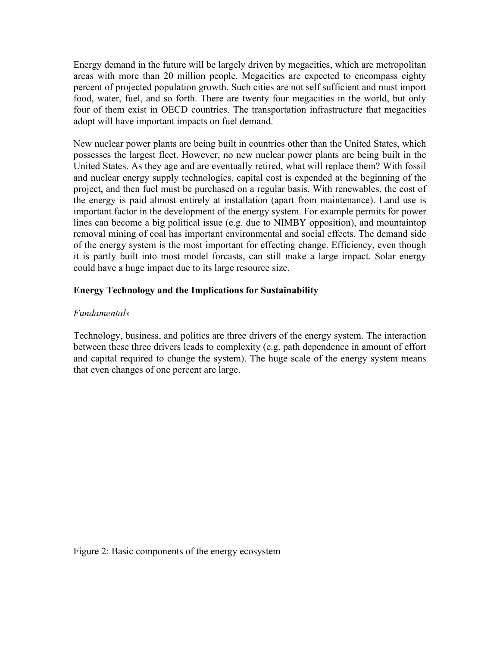Energy demand in the future will be largely driven by megacities, which are metropolitan areas with more than 20 million people. Megacities are expected to encompass eighty percent of projected population growth. Such cities are not self sufficient and must import food, water, fuel, and so forth. There are twenty four megacities in the world, but only four of them exist in OECD countries. The transportation infrastructure that megacities adopt will have important impacts on fuel demand.

New nuclear power plants are being built in countries other than the United States, which possesses the largest fleet. However, no new nuclear power plants are being built in the United States. As they age and are eventually retired, what will replace them? With fossil and nuclear energy supply technologies, capital cost is expended at the beginning of the project, and then fuel must be purchased on a regular basis. With renewables, the cost of the energy is paid almost entirely at installation (apart from maintenance). Land use is important factor in the development of the energy system. For example permits for power lines can become a big political issue (e.g. due to NIMBY opposition), and mountaintop removal mining of coal has important environmental and social effects. The demand side of the energy system is the most important for effecting change. Efficiency, even though it is partly built into most model forcasts, can still make a large impact. Solar energy could have a huge impact due to its large resource size.

# **Energy Technology and the Implications for Sustainability**

# *Fundamentals*

Technology, business, and politics are three drivers of the energy system. The interaction between these three drivers leads to complexity (e.g. path dependence in amount of effort and capital required to change the system). The huge scale of the energy system means that even changes of one percent are large.

Figure 2: Basic components of the energy ecosystem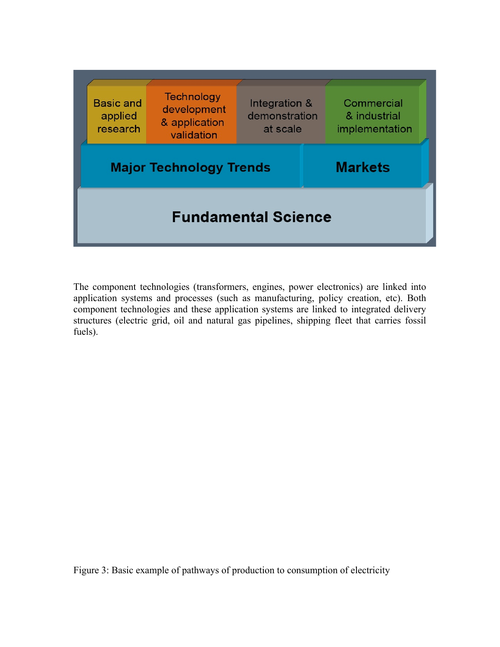

The component technologies (transformers, engines, power electronics) are linked into application systems and processes (such as manufacturing, policy creation, etc). Both component technologies and these application systems are linked to integrated delivery structures (electric grid, oil and natural gas pipelines, shipping fleet that carries fossil fuels).

Figure 3: Basic example of pathways of production to consumption of electricity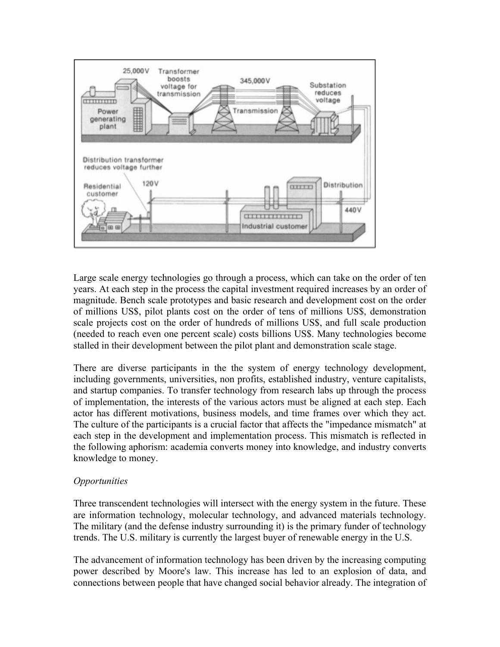

Large scale energy technologies go through a process, which can take on the order of ten years. At each step in the process the capital investment required increases by an order of magnitude. Bench scale prototypes and basic research and development cost on the order of millions US\$, pilot plants cost on the order of tens of millions US\$, demonstration scale projects cost on the order of hundreds of millions US\$, and full scale production (needed to reach even one percent scale) costs billions US\$. Many technologies become stalled in their development between the pilot plant and demonstration scale stage.

There are diverse participants in the the system of energy technology development, including governments, universities, non profits, established industry, venture capitalists, and startup companies. To transfer technology from research labs up through the process of implementation, the interests of the various actors must be aligned at each step. Each actor has different motivations, business models, and time frames over which they act. The culture of the participants is a crucial factor that affects the "impedance mismatch" at each step in the development and implementation process. This mismatch is reflected in the following aphorism: academia converts money into knowledge, and industry converts knowledge to money.

#### *Opportunities*

Three transcendent technologies will intersect with the energy system in the future. These are information technology, molecular technology, and advanced materials technology. The military (and the defense industry surrounding it) is the primary funder of technology trends. The U.S. military is currently the largest buyer of renewable energy in the U.S.

The advancement of information technology has been driven by the increasing computing power described by Moore's law. This increase has led to an explosion of data, and connections between people that have changed social behavior already. The integration of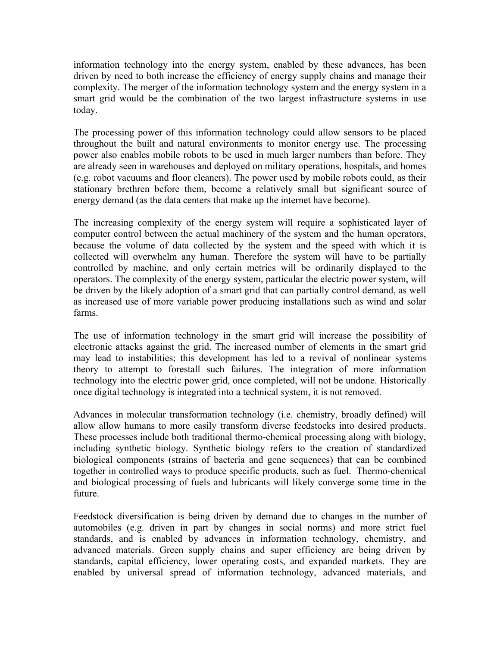information technology into the energy system, enabled by these advances, has been driven by need to both increase the efficiency of energy supply chains and manage their complexity. The merger of the information technology system and the energy system in a smart grid would be the combination of the two largest infrastructure systems in use today.

The processing power of this information technology could allow sensors to be placed throughout the built and natural environments to monitor energy use. The processing power also enables mobile robots to be used in much larger numbers than before. They are already seen in warehouses and deployed on military operations, hospitals, and homes (e.g. robot vacuums and floor cleaners). The power used by mobile robots could, as their stationary brethren before them, become a relatively small but significant source of energy demand (as the data centers that make up the internet have become).

The increasing complexity of the energy system will require a sophisticated layer of computer control between the actual machinery of the system and the human operators, because the volume of data collected by the system and the speed with which it is collected will overwhelm any human. Therefore the system will have to be partially controlled by machine, and only certain metrics will be ordinarily displayed to the operators. The complexity of the energy system, particular the electric power system, will be driven by the likely adoption of a smart grid that can partially control demand, as well as increased use of more variable power producing installations such as wind and solar farms.

The use of information technology in the smart grid will increase the possibility of electronic attacks against the grid. The increased number of elements in the smart grid may lead to instabilities; this development has led to a revival of nonlinear systems theory to attempt to forestall such failures. The integration of more information technology into the electric power grid, once completed, will not be undone. Historically once digital technology is integrated into a technical system, it is not removed.

Advances in molecular transformation technology (i.e. chemistry, broadly defined) will allow allow humans to more easily transform diverse feedstocks into desired products. These processes include both traditional thermo-chemical processing along with biology, including synthetic biology. Synthetic biology refers to the creation of standardized biological components (strains of bacteria and gene sequences) that can be combined together in controlled ways to produce specific products, such as fuel. Thermo-chemical and biological processing of fuels and lubricants will likely converge some time in the future.

Feedstock diversification is being driven by demand due to changes in the number of automobiles (e.g. driven in part by changes in social norms) and more strict fuel standards, and is enabled by advances in information technology, chemistry, and advanced materials. Green supply chains and super efficiency are being driven by standards, capital efficiency, lower operating costs, and expanded markets. They are enabled by universal spread of information technology, advanced materials, and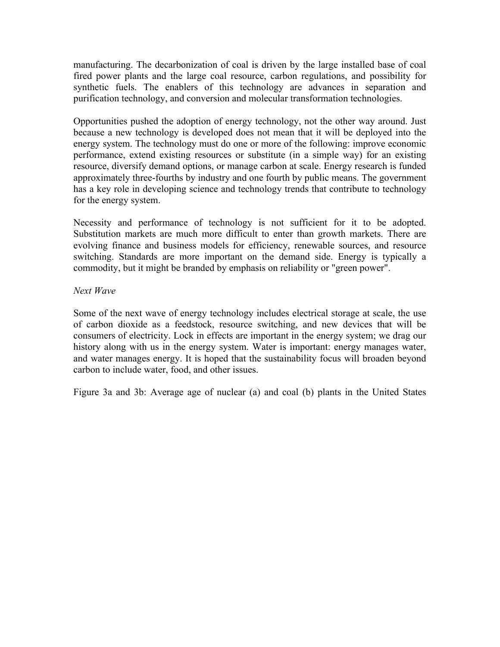manufacturing. The decarbonization of coal is driven by the large installed base of coal fired power plants and the large coal resource, carbon regulations, and possibility for synthetic fuels. The enablers of this technology are advances in separation and purification technology, and conversion and molecular transformation technologies.

Opportunities pushed the adoption of energy technology, not the other way around. Just because a new technology is developed does not mean that it will be deployed into the energy system. The technology must do one or more of the following: improve economic performance, extend existing resources or substitute (in a simple way) for an existing resource, diversify demand options, or manage carbon at scale. Energy research is funded approximately three-fourths by industry and one fourth by public means. The government has a key role in developing science and technology trends that contribute to technology for the energy system.

Necessity and performance of technology is not sufficient for it to be adopted. Substitution markets are much more difficult to enter than growth markets. There are evolving finance and business models for efficiency, renewable sources, and resource switching. Standards are more important on the demand side. Energy is typically a commodity, but it might be branded by emphasis on reliability or "green power".

#### *Next Wave*

Some of the next wave of energy technology includes electrical storage at scale, the use of carbon dioxide as a feedstock, resource switching, and new devices that will be consumers of electricity. Lock in effects are important in the energy system; we drag our history along with us in the energy system. Water is important: energy manages water, and water manages energy. It is hoped that the sustainability focus will broaden beyond carbon to include water, food, and other issues.

Figure 3a and 3b: Average age of nuclear (a) and coal (b) plants in the United States